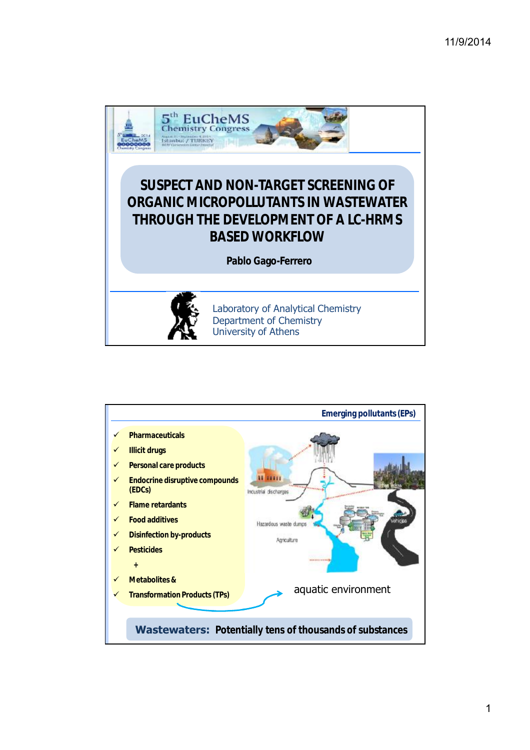

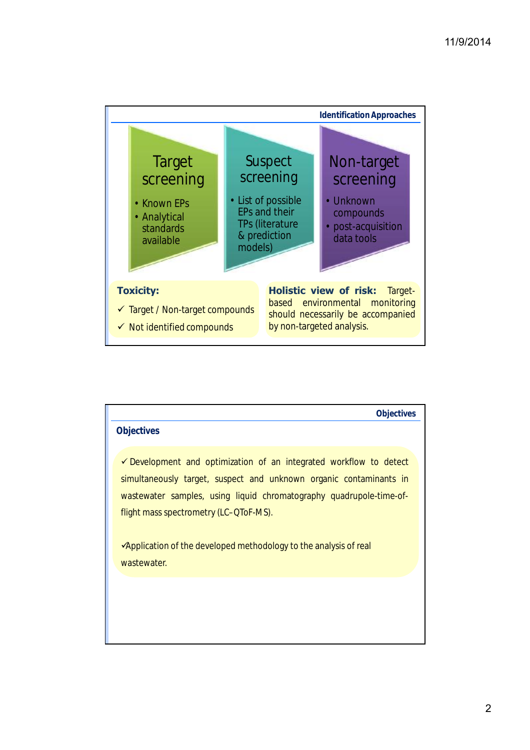

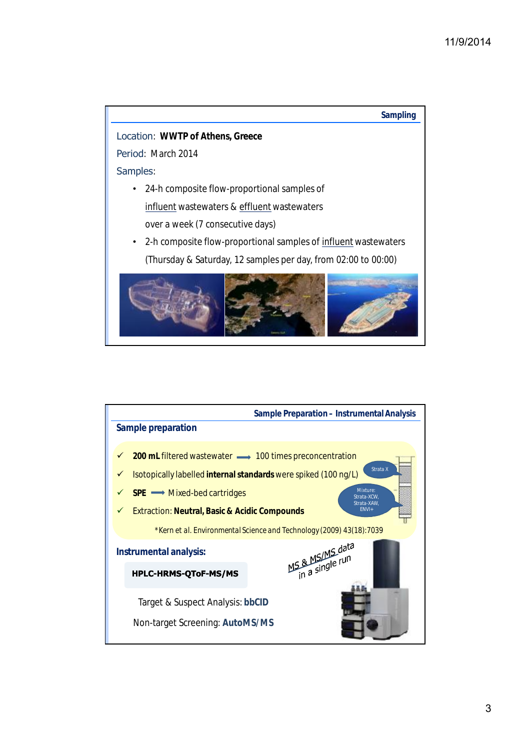

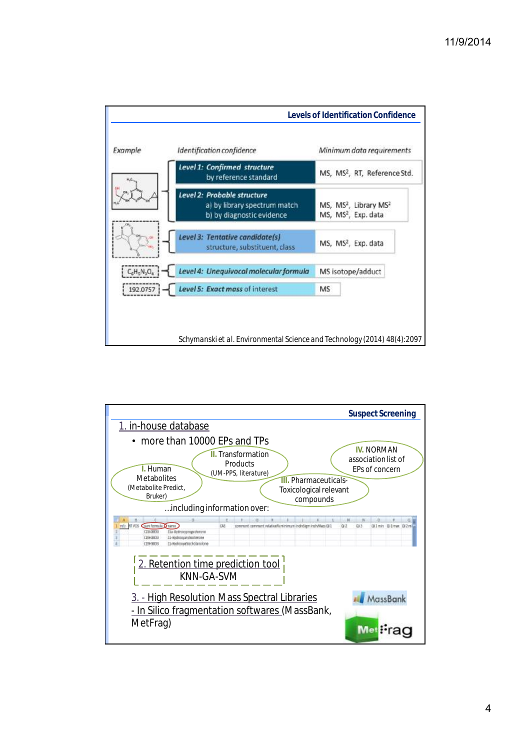

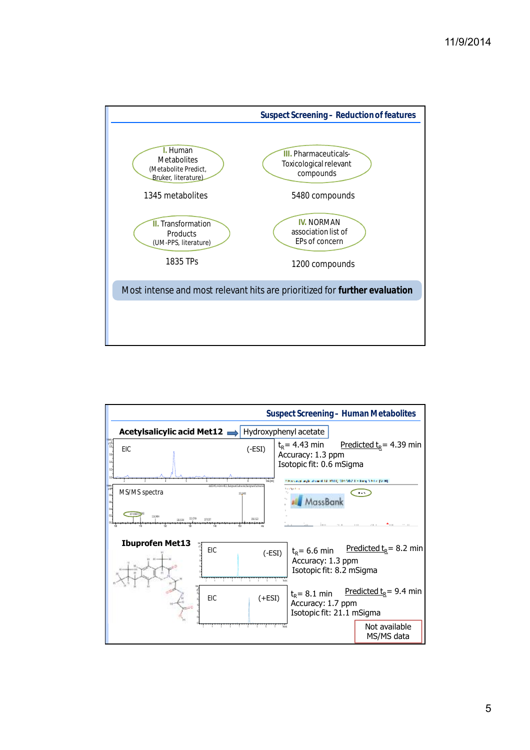

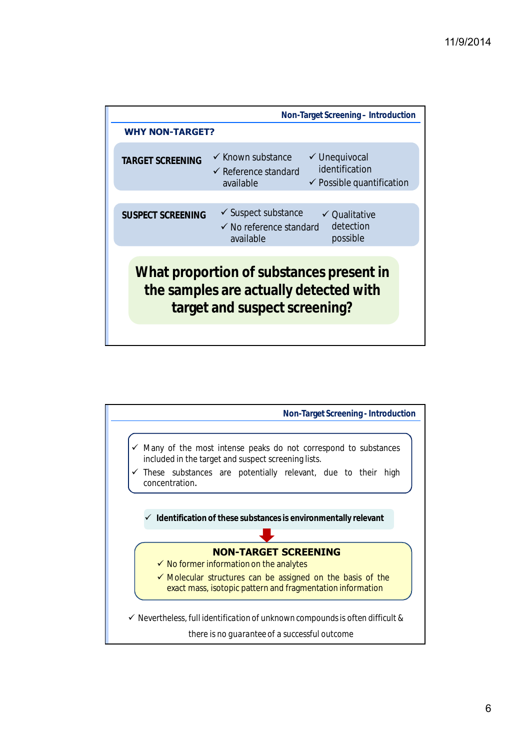|                          | Non-Target Screening - Introduction                                                                                                                                |
|--------------------------|--------------------------------------------------------------------------------------------------------------------------------------------------------------------|
| <b>WHY NON-TARGET?</b>   |                                                                                                                                                                    |
| <b>TARGET SCREENING</b>  | $\checkmark$ Known substance<br>$\checkmark$ Unequivocal<br>identification<br>$\checkmark$ Reference standard<br>$\checkmark$ Possible quantification<br>available |
|                          |                                                                                                                                                                    |
| <b>SUSPECT SCREENING</b> | $\checkmark$ Suspect substance<br>$\checkmark$ Qualitative<br>detection<br>$\checkmark$ No reference standard<br>possible<br>available                             |
|                          | What proportion of substances present in<br>the samples are actually detected with<br>target and suspect screening?                                                |

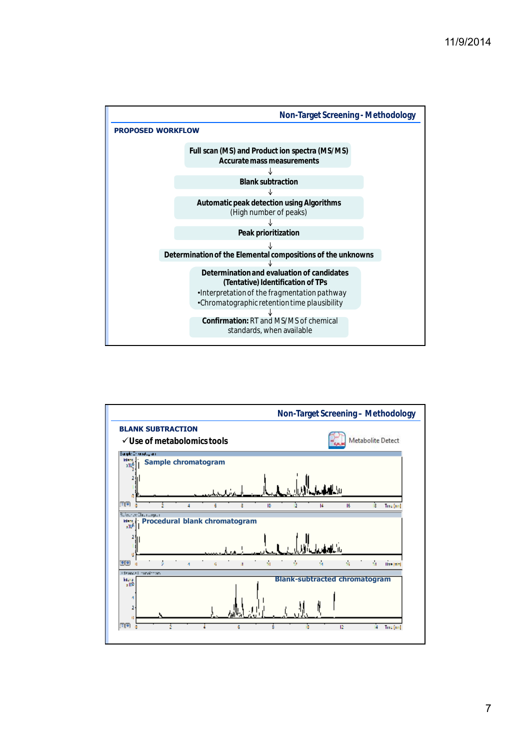



7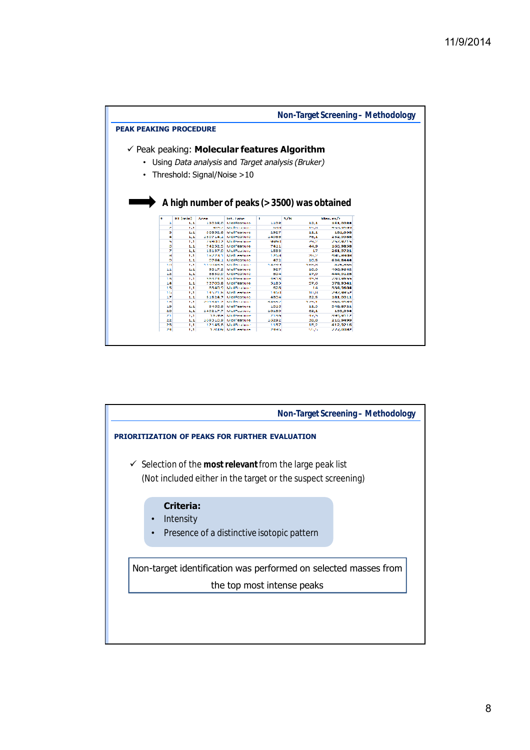|                               |          |            |              |                                         |                |                                                         |                      | Non-Target Screening - Methodology |
|-------------------------------|----------|------------|--------------|-----------------------------------------|----------------|---------------------------------------------------------|----------------------|------------------------------------|
| <b>PEAK PEAKING PROCEDURE</b> |          |            |              |                                         |                |                                                         |                      |                                    |
|                               |          |            |              |                                         |                |                                                         |                      |                                    |
|                               |          |            |              |                                         |                | $\checkmark$ Peak peaking: Molecular features Algorithm |                      |                                    |
|                               |          |            |              |                                         |                |                                                         |                      |                                    |
|                               |          |            |              |                                         |                | Using Data analysis and Target analysis (Bruker)        |                      |                                    |
|                               |          |            |              |                                         |                |                                                         |                      |                                    |
|                               |          |            |              |                                         |                |                                                         |                      |                                    |
|                               |          |            |              | • Threshold: Signal/Noise > 10          |                |                                                         |                      |                                    |
|                               |          |            |              |                                         |                |                                                         |                      |                                    |
|                               |          |            |              |                                         |                |                                                         |                      |                                    |
|                               |          |            |              |                                         |                |                                                         |                      |                                    |
|                               |          |            |              |                                         |                |                                                         |                      |                                    |
|                               |          |            |              |                                         |                | A high number of peaks (> 3500) was obtained            |                      |                                    |
|                               |          |            |              |                                         |                |                                                         |                      |                                    |
|                               |          |            |              |                                         |                |                                                         |                      |                                    |
|                               |          |            |              |                                         |                |                                                         |                      |                                    |
|                               | ٠        | Bi [min]   | <b>Acres</b> | Int. Type                               | ٠              | S/M                                                     | Max. m/s             |                                    |
|                               |          | 1.1        |              | 12025.9 MolFeature                      | 1198           | 12.1                                                    | 151,0084             |                                    |
|                               | ×        | 1.1        | والحججة      | <b>Basilianation</b>                    | <b>Carlons</b> | 15.39                                                   | 451,9109             |                                    |
|                               | з        | 1.1        | 30852.8      | Moll esture                             | 2927           | 11.1                                                    | 181,038              |                                    |
|                               | ٠        | 1.1        | 150714.1     | MelFeature                              | 14985          | 26.1                                                    | 232,9988             |                                    |
|                               | ٠        | 1.1        |              | 29/03/22 Bodinations                    | <b>SPACE</b>   | 49.2                                                    | 252,9715             |                                    |
|                               | õ        | 1.1        | 74232.5      | Moll esture                             | 7411           | 44.9                                                    | 100,9858             |                                    |
|                               | z        | 1, 1       |              | 13137.0 Molf eature                     | 1533           | 17                                                      | 251,9721             |                                    |
|                               | ×        | 1,1        |              | 187731 Mollenburg                       | 1,2094         | 28.2                                                    | 4944,399039          |                                    |
|                               | o        | 1.1        | 0764.1       | Mell esture                             | 472            | 10.5                                                    | 634.8444             |                                    |
|                               | ٦а       | 1.1        |              | 1190435 Nolmaine                        | 147.71         | 11-25.26                                                | <b>Barbarano</b>     |                                    |
|                               | 11       | 1.1        | 9017.2       | <b>Moll eature</b>                      | 927            | 10.3                                                    | 105.9512             |                                    |
|                               | 12       | 1.1        |              | 8830.0 McFeature                        | 814            | 17.9                                                    | 444,9128             |                                    |
|                               | 1.5      | 1.1        | 16474.8      | <b>Banding almost</b>                   | 4818           | 45.98                                                   | 2. KL-Strate         |                                    |
|                               | 14       | 1.1        | 73705.8      | Moll esture                             | 5183           | 57.6                                                    | 378,9341             |                                    |
|                               | 15       | 1.1        |              | <b>AS40.9 Moderation</b>                | 628            | 14                                                      | 334,9504             |                                    |
|                               | 164      | 5.3        |              | 14571.8 Nodi come                       | 140.61         | 113,34                                                  | 242,9842             |                                    |
|                               | 17       | 1.1        | 51524.7      | Mell esture                             | 4304           | 22.5                                                    | 181,0011             |                                    |
|                               | 18       | 1.1        | 212124112    | <b>Bandination</b>                      | 54557          | 175.1                                                   | 1845, 1189           |                                    |
|                               | 19       | 1.1        | 9499.9       | Moll esture                             | 1016           | 11.3                                                    | 548.8721             |                                    |
|                               | 20       | 1, 1       |              | 140217.7 Moll output                    | 10180          | 62,1                                                    | 133,034              |                                    |
|                               | m        | 1,1        |              | 18768. Realizednie                      | 21.95          | 485                                                     | 2009/01/12           |                                    |
|                               | 22       | 1.1        | 100310.9     | Moll'esture                             | 15292          | 26.8                                                    | 216,9499             |                                    |
|                               | 23<br>24 | 1.1<br>1.1 |              | 12145 S. Molfmalms<br>17609 Realt comes | 1187<br>24545  | 15.2<br>120,000                                         | 412.9216<br>222,0082 |                                    |

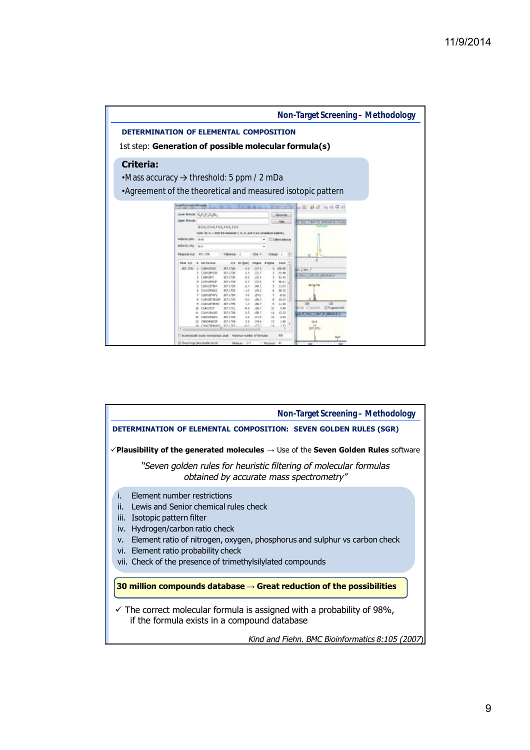

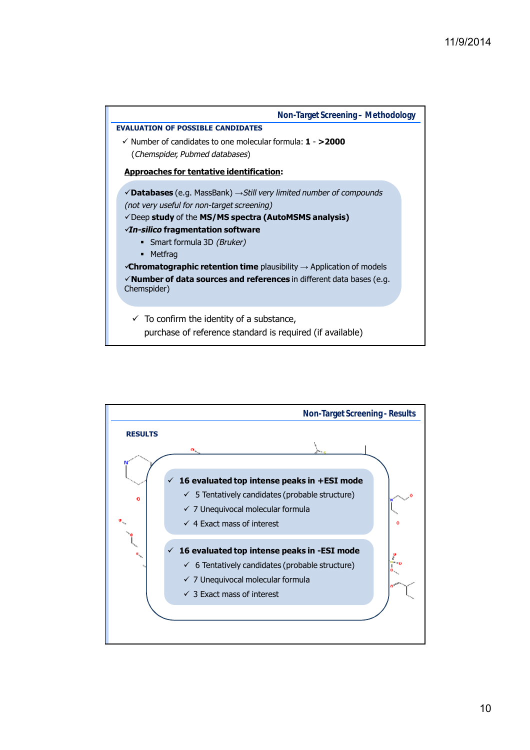